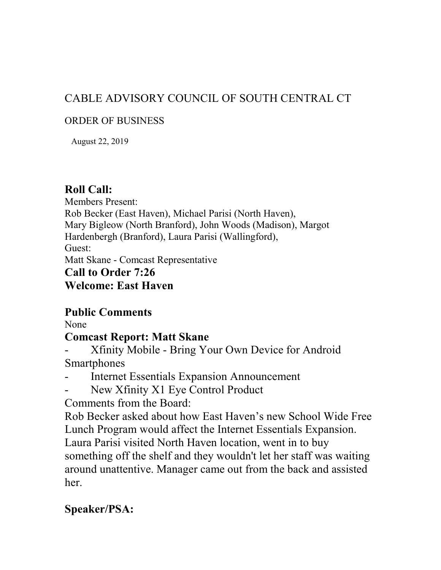# CABLE ADVISORY COUNCIL OF SOUTH CENTRAL CT

#### ORDER OF BUSINESS

August 22, 2019

# **Roll Call:**

Members Present: Rob Becker (East Haven), Michael Parisi (North Haven), Mary Bigleow (North Branford), John Woods (Madison), Margot Hardenbergh (Branford), Laura Parisi (Wallingford), Guest: Matt Skane - Comcast Representative **Call to Order 7:26** 

# **Welcome: East Haven**

# **Public Comments**

None

# **Comcast Report: Matt Skane**

- Xfinity Mobile Bring Your Own Device for Android **Smartphones**
- Internet Essentials Expansion Announcement
- New Xfinity X1 Eye Control Product

Comments from the Board:

Rob Becker asked about how East Haven's new School Wide Free Lunch Program would affect the Internet Essentials Expansion. Laura Parisi visited North Haven location, went in to buy something off the shelf and they wouldn't let her staff was waiting around unattentive. Manager came out from the back and assisted her.

# **Speaker/PSA:**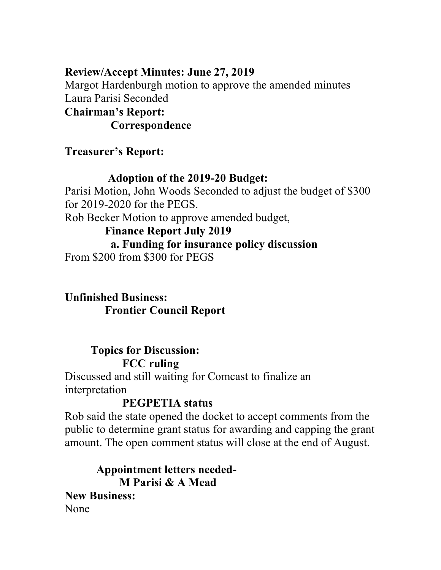### **Review/Accept Minutes: June 27, 2019**

Margot Hardenburgh motion to approve the amended minutes Laura Parisi Seconded

#### **Chairman's Report:**

 **Correspondence** 

# **Treasurer's Report:**

### **Adoption of the 2019-20 Budget:**

Parisi Motion, John Woods Seconded to adjust the budget of \$300 for 2019-2020 for the PEGS.

Rob Becker Motion to approve amended budget,

#### **Finance Report July 2019**

### **a. Funding for insurance policy discussion**

From \$200 from \$300 for PEGS

# **Unfinished Business: Frontier Council Report**

# **Topics for Discussion: FCC ruling**

Discussed and still waiting for Comcast to finalize an interpretation

# **PEGPETIA status**

Rob said the state opened the docket to accept comments from the public to determine grant status for awarding and capping the grant amount. The open comment status will close at the end of August.

 **Appointment letters needed- M Parisi & A Mead New Business:**  None